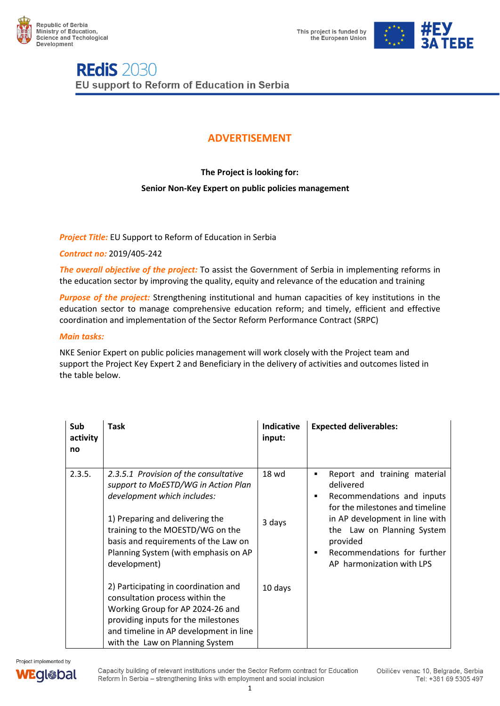



## **REdiS 2030** EU support to Reform of Education in Serbia

### **ADVERTISEMENT**

**The Project is looking for:** 

### **Senior Non-Key Expert on public policies management**

### *Project Title:* EU Support to Reform of Education in Serbia

*Contract no:* 2019/405-242

*The overall objective of the project:* To assist the Government of Serbia in implementing reforms in the education sector by improving the quality, equity and relevance of the education and training

*Purpose of the project:* Strengthening institutional and human capacities of key institutions in the education sector to manage comprehensive education reform; and timely, efficient and effective coordination and implementation of the Sector Reform Performance Contract (SRPC)

### *Main tasks:*

NKE Senior Expert on public policies management will work closely with the Project team and support the Project Key Expert 2 and Beneficiary in the delivery of activities and outcomes listed in the table below.

| Sub<br>activity<br>no | <b>Task</b>                                                                                                                                                                                                                                                                        | <b>Indicative</b><br>input: | <b>Expected deliverables:</b>                                                                                                                                                                                                                                                  |
|-----------------------|------------------------------------------------------------------------------------------------------------------------------------------------------------------------------------------------------------------------------------------------------------------------------------|-----------------------------|--------------------------------------------------------------------------------------------------------------------------------------------------------------------------------------------------------------------------------------------------------------------------------|
| 2.3.5.                | 2.3.5.1 Provision of the consultative<br>support to MoESTD/WG in Action Plan<br>development which includes:<br>1) Preparing and delivering the<br>training to the MOESTD/WG on the<br>basis and requirements of the Law on<br>Planning System (with emphasis on AP<br>development) | 18 wd<br>3 days             | Report and training material<br>٠<br>delivered<br>Recommendations and inputs<br>٠<br>for the milestones and timeline<br>in AP development in line with<br>the Law on Planning System<br>provided<br>Recommendations for further<br>$\blacksquare$<br>AP harmonization with LPS |
|                       | 2) Participating in coordination and<br>consultation process within the<br>Working Group for AP 2024-26 and<br>providing inputs for the milestones<br>and timeline in AP development in line<br>with the Law on Planning System                                                    | 10 days                     |                                                                                                                                                                                                                                                                                |



Capacity building of relevant institutions under the Sector Reform contract for Education Reform In Serbia - strengthening links with employment and social inclusion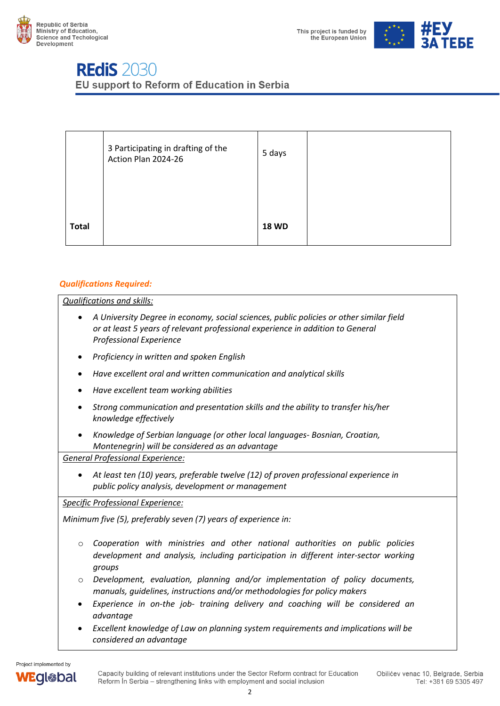



# **REdiS 2030**

EU support to Reform of Education in Serbia

|              | 3 Participating in drafting of the<br>Action Plan 2024-26 | 5 days       |  |
|--------------|-----------------------------------------------------------|--------------|--|
| <b>Total</b> |                                                           | <b>18 WD</b> |  |

### *Qualifications Required:*

*Qualifications and skills:*

- *A University Degree in economy, social sciences, public policies or other similar field or at least 5 years of relevant professional experience in addition to General Professional Experience*
- *Proficiency in written and spoken English*
- *Have excellent oral and written communication and analytical skills*
- *Have excellent team working abilities*
- *Strong communication and presentation skills and the ability to transfer his/her knowledge effectively*
- *Knowledge of Serbian language (or other local languages- Bosnian, Croatian, Montenegrin) will be considered as an advantage*

*General Professional Experience:*

• *At least ten (10) years, preferable twelve (12) of proven professional experience in public policy analysis, development or management* 

*Specific Professional Experience:*

*Minimum five (5), preferably seven (7) years of experience in:*

- o *Cooperation with ministries and other national authorities on public policies development and analysis, including participation in different inter-sector working groups*
- o *Development, evaluation, planning and/or implementation of policy documents, manuals, guidelines, instructions and/or methodologies for policy makers*
- *Experience in on-the job- training delivery and coaching will be considered an advantage*
- *Excellent knowledge of Law on planning system requirements and implications will be considered an advantage*